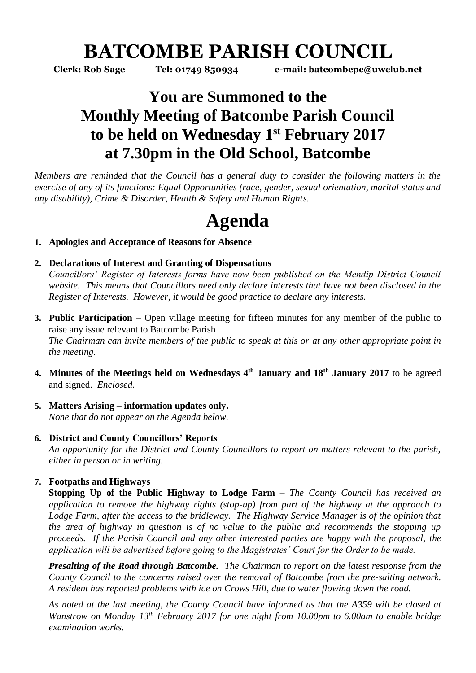# **BATCOMBE PARISH COUNCIL**

**Clerk: Rob Sage Tel: 01749 850934 e-mail: batcombepc@uwclub.net**

# **You are Summoned to the Monthly Meeting of Batcombe Parish Council to be held on Wednesday 1 st February 2017 at 7.30pm in the Old School, Batcombe**

*Members are reminded that the Council has a general duty to consider the following matters in the exercise of any of its functions: Equal Opportunities (race, gender, sexual orientation, marital status and any disability), Crime & Disorder, Health & Safety and Human Rights.* 

# **Agenda**

### **1. Apologies and Acceptance of Reasons for Absence**

### **2. Declarations of Interest and Granting of Dispensations**

*Councillors' Register of Interests forms have now been published on the Mendip District Council website. This means that Councillors need only declare interests that have not been disclosed in the Register of Interests. However, it would be good practice to declare any interests.*

- **3. Public Participation –** Open village meeting for fifteen minutes for any member of the public to raise any issue relevant to Batcombe Parish *The Chairman can invite members of the public to speak at this or at any other appropriate point in the meeting.*
- **4. Minutes of the Meetings held on Wednesdays 4 th January and 18th January 2017** to be agreed and signed. *Enclosed.*
- **5. Matters Arising – information updates only.**  *None that do not appear on the Agenda below.*

#### **6. District and County Councillors' Reports**

*An opportunity for the District and County Councillors to report on matters relevant to the parish, either in person or in writing.* 

# **7. Footpaths and Highways**

**Stopping Up of the Public Highway to Lodge Farm** *– The County Council has received an application to remove the highway rights (stop-up) from part of the highway at the approach to Lodge Farm, after the access to the bridleway. The Highway Service Manager is of the opinion that the area of highway in question is of no value to the public and recommends the stopping up proceeds. If the Parish Council and any other interested parties are happy with the proposal, the application will be advertised before going to the Magistrates' Court for the Order to be made.* 

*Presalting of the Road through Batcombe. The Chairman to report on the latest response from the County Council to the concerns raised over the removal of Batcombe from the pre-salting network. A resident has reported problems with ice on Crows Hill, due to water flowing down the road.*

*As noted at the last meeting, the County Council have informed us that the A359 will be closed at Wanstrow on Monday 13th February 2017 for one night from 10.00pm to 6.00am to enable bridge examination works.*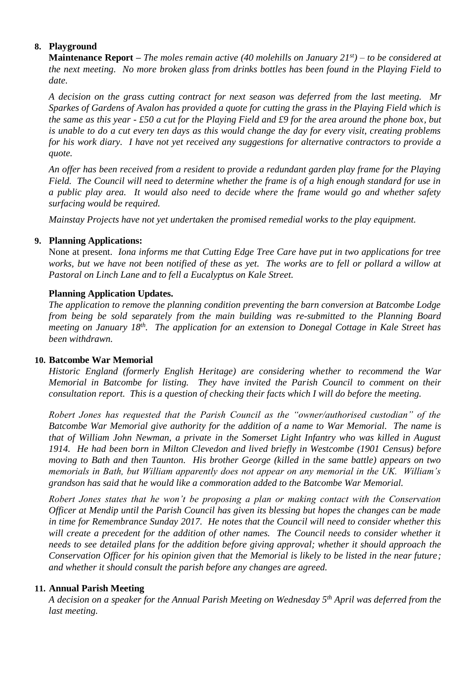# **8. Playground**

**Maintenance Report –** *The moles remain active (40 molehills on January 21st) – to be considered at the next meeting. No more broken glass from drinks bottles has been found in the Playing Field to date.*

*A decision on the grass cutting contract for next season was deferred from the last meeting. Mr Sparkes of Gardens of Avalon has provided a quote for cutting the grass in the Playing Field which is the same as this year - £50 a cut for the Playing Field and £9 for the area around the phone box, but is unable to do a cut every ten days as this would change the day for every visit, creating problems for his work diary. I have not yet received any suggestions for alternative contractors to provide a quote.* 

*An offer has been received from a resident to provide a redundant garden play frame for the Playing Field. The Council will need to determine whether the frame is of a high enough standard for use in a public play area. It would also need to decide where the frame would go and whether safety surfacing would be required.* 

*Mainstay Projects have not yet undertaken the promised remedial works to the play equipment.* 

#### **9. Planning Applications:**

None at present. *Iona informs me that Cutting Edge Tree Care have put in two applications for tree works, but we have not been notified of these as yet. The works are to fell or pollard a willow at Pastoral on Linch Lane and to fell a Eucalyptus on Kale Street.*

#### **Planning Application Updates.**

*The application to remove the planning condition preventing the barn conversion at Batcombe Lodge from being be sold separately from the main building was re-submitted to the Planning Board*  meeting on January 18<sup>th</sup>. The application for an extension to Donegal Cottage in Kale Street has *been withdrawn.* 

#### **10. Batcombe War Memorial**

*Historic England (formerly English Heritage) are considering whether to recommend the War Memorial in Batcombe for listing. They have invited the Parish Council to comment on their consultation report. This is a question of checking their facts which I will do before the meeting.*

*Robert Jones has requested that the Parish Council as the "owner/authorised custodian" of the Batcombe War Memorial give authority for the addition of a name to War Memorial. The name is that of William John Newman, a private in the Somerset Light Infantry who was killed in August 1914. He had been born in Milton Clevedon and lived briefly in Westcombe (1901 Census) before moving to Bath and then Taunton. His brother George (killed in the same battle) appears on two memorials in Bath, but William apparently does not appear on any memorial in the UK. William's grandson has said that he would like a commoration added to the Batcombe War Memorial.* 

*Robert Jones states that he won't be proposing a plan or making contact with the Conservation Officer at Mendip until the Parish Council has given its blessing but hopes the changes can be made in time for Remembrance Sunday 2017. He notes that the Council will need to consider whether this*  will create a precedent for the addition of other names. The Council needs to consider whether it *needs to see detailed plans for the addition before giving approval; whether it should approach the Conservation Officer for his opinion given that the Memorial is likely to be listed in the near future; and whether it should consult the parish before any changes are agreed.* 

#### **11. Annual Parish Meeting**

*A decision on a speaker for the Annual Parish Meeting on Wednesday 5th April was deferred from the last meeting.*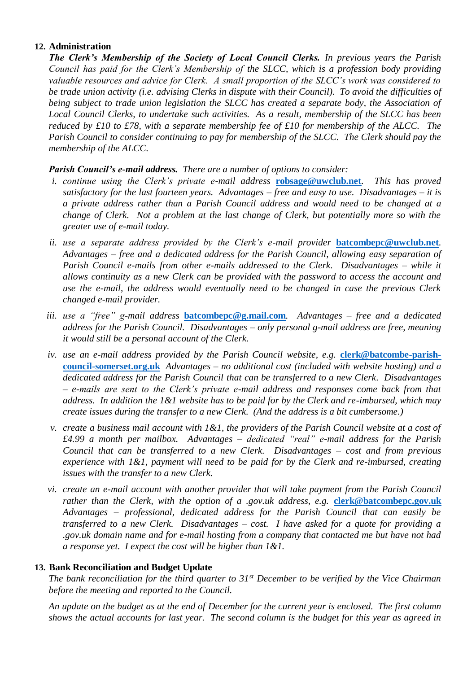#### **12. Administration**

*The Clerk's Membership of the Society of Local Council Clerks. In previous years the Parish Council has paid for the Clerk's Membership of the SLCC, which is a profession body providing valuable resources and advice for Clerk. A small proportion of the SLCC's work was considered to be trade union activity (i.e. advising Clerks in dispute with their Council). To avoid the difficulties of being subject to trade union legislation the SLCC has created a separate body, the Association of Local Council Clerks, to undertake such activities. As a result, membership of the SLCC has been reduced by £10 to £78, with a separate membership fee of £10 for membership of the ALCC. The Parish Council to consider continuing to pay for membership of the SLCC. The Clerk should pay the membership of the ALCC.* 

*Parish Council's e-mail address. There are a number of options to consider:*

- *i. continue using the Clerk's private e-mail address* **[robsage@uwclub.net](mailto:robsage@uwclub.net)***. This has proved satisfactory for the last fourteen years. Advantages – free and easy to use. Disadvantages – it is a private address rather than a Parish Council address and would need to be changed at a change of Clerk. Not a problem at the last change of Clerk, but potentially more so with the greater use of e-mail today.*
- *ii. use a separate address provided by the Clerk's e-mail provider* **[batcombepc@uwclub.net](mailto:batcombepc@uwclub.net)***. Advantages – free and a dedicated address for the Parish Council, allowing easy separation of Parish Council e-mails from other e-mails addressed to the Clerk. Disadvantages – while it allows continuity as a new Clerk can be provided with the password to access the account and use the e-mail, the address would eventually need to be changed in case the previous Clerk changed e-mail provider.*
- *iii. use a "free" g-mail address* **[batcombepc@g.mail.com](mailto:batcombepc@g.mail.com)***. Advantages – free and a dedicated address for the Parish Council. Disadvantages – only personal g-mail address are free, meaning it would still be a personal account of the Clerk.*
- iv. use an e-mail address provided by the Parish Council website, e.g. **[clerk@batcombe-parish](mailto:clerk@batcombe-parish-council-somerset.org.uk)[council-somerset.org.uk](mailto:clerk@batcombe-parish-council-somerset.org.uk)** *Advantages – no additional cost (included with website hosting) and a dedicated address for the Parish Council that can be transferred to a new Clerk. Disadvantages – e-mails are sent to the Clerk's private e-mail address and responses come back from that address. In addition the 1&1 website has to be paid for by the Clerk and re-imbursed, which may create issues during the transfer to a new Clerk. (And the address is a bit cumbersome.)*
- *v. create a business mail account with 1&1, the providers of the Parish Council website at a cost of £4.99 a month per mailbox. Advantages – dedicated "real" e-mail address for the Parish Council that can be transferred to a new Clerk. Disadvantages – cost and from previous experience with 1&1, payment will need to be paid for by the Clerk and re-imbursed, creating issues with the transfer to a new Clerk.*
- *vi. create an e-mail account with another provider that will take payment from the Parish Council rather than the Clerk, with the option of a .gov.uk address, e.g. [clerk@batcombepc.gov.uk](mailto:clerk@batcombepc.gov.uk) Advantages – professional, dedicated address for the Parish Council that can easily be transferred to a new Clerk. Disadvantages – cost. I have asked for a quote for providing a .gov.uk domain name and for e-mail hosting from a company that contacted me but have not had a response yet. I expect the cost will be higher than 1&1.*

#### **13. Bank Reconciliation and Budget Update**

*The bank reconciliation for the third quarter to 31st December to be verified by the Vice Chairman before the meeting and reported to the Council.* 

*An update on the budget as at the end of December for the current year is enclosed. The first column shows the actual accounts for last year. The second column is the budget for this year as agreed in*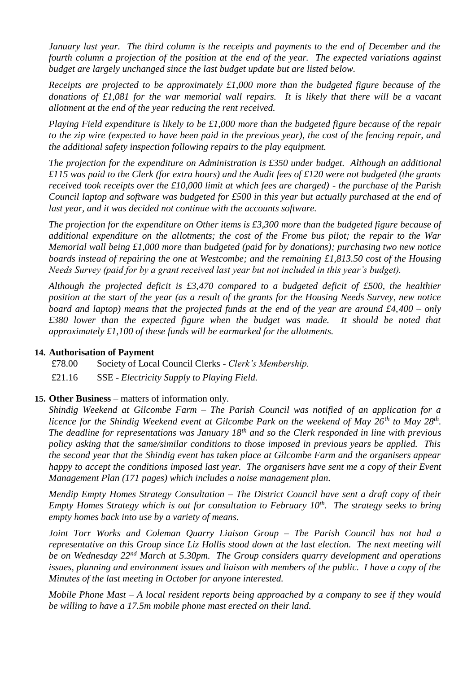*January last year. The third column is the receipts and payments to the end of December and the fourth column a projection of the position at the end of the year. The expected variations against budget are largely unchanged since the last budget update but are listed below.* 

*Receipts are projected to be approximately £1,000 more than the budgeted figure because of the donations of £1,081 for the war memorial wall repairs. It is likely that there will be a vacant allotment at the end of the year reducing the rent received.* 

*Playing Field expenditure is likely to be £1,000 more than the budgeted figure because of the repair to the zip wire (expected to have been paid in the previous year), the cost of the fencing repair, and the additional safety inspection following repairs to the play equipment.* 

*The projection for the expenditure on Administration is £350 under budget. Although an additional £115 was paid to the Clerk (for extra hours) and the Audit fees of £120 were not budgeted (the grants received took receipts over the £10,000 limit at which fees are charged) - the purchase of the Parish Council laptop and software was budgeted for £500 in this year but actually purchased at the end of last year, and it was decided not continue with the accounts software.*

*The projection for the expenditure on Other items is £3,300 more than the budgeted figure because of additional expenditure on the allotments; the cost of the Frome bus pilot; the repair to the War Memorial wall being £1,000 more than budgeted (paid for by donations); purchasing two new notice boards instead of repairing the one at Westcombe; and the remaining £1,813.50 cost of the Housing Needs Survey (paid for by a grant received last year but not included in this year's budget).*

*Although the projected deficit is £3,470 compared to a budgeted deficit of £500, the healthier position at the start of the year (as a result of the grants for the Housing Needs Survey, new notice board and laptop) means that the projected funds at the end of the year are around £4,400 – only £380 lower than the expected figure when the budget was made. It should be noted that approximately £1,100 of these funds will be earmarked for the allotments.* 

#### **14. Authorisation of Payment**

£78.00 Society of Local Council Clerks - *Clerk's Membership.*

£21.16 SSE - *Electricity Supply to Playing Field.*

#### **15. Other Business** – matters of information only.

*Shindig Weekend at Gilcombe Farm – The Parish Council was notified of an application for a licence for the Shindig Weekend event at Gilcombe Park on the weekend of May 26th to May 28th . The deadline for representations was January 18th and so the Clerk responded in line with previous policy asking that the same/similar conditions to those imposed in previous years be applied. This the second year that the Shindig event has taken place at Gilcombe Farm and the organisers appear happy to accept the conditions imposed last year. The organisers have sent me a copy of their Event Management Plan (171 pages) which includes a noise management plan.* 

*Mendip Empty Homes Strategy Consultation – The District Council have sent a draft copy of their Empty Homes Strategy which is out for consultation to February 10th. The strategy seeks to bring empty homes back into use by a variety of means.* 

*Joint Torr Works and Coleman Quarry Liaison Group – The Parish Council has not had a representative on this Group since Liz Hollis stood down at the last election. The next meeting will be on Wednesday 22nd March at 5.30pm. The Group considers quarry development and operations issues, planning and environment issues and liaison with members of the public. I have a copy of the Minutes of the last meeting in October for anyone interested.* 

*Mobile Phone Mast – A local resident reports being approached by a company to see if they would be willing to have a 17.5m mobile phone mast erected on their land.*